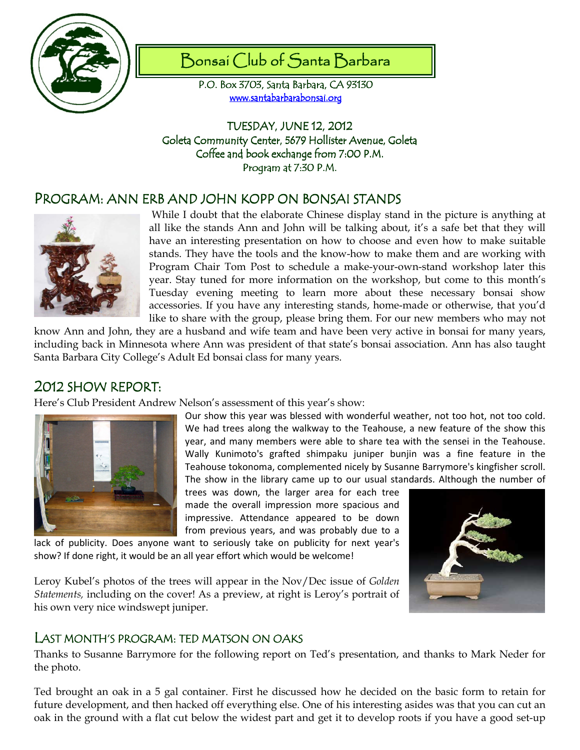

# Bonsai Club of Santa Barbara

P.O. Box 3703, Santa Barbara, CA 93130 www.santabarbarabonsai.org

TUESDAY, JUNE 12, 2012 Goleta Community Center, 5679 Hollister Avenue, Goleta Coffee and book exchange from 7:00 P.M. Program at 7:30 P.M.

## PROGRAM: ANN ERB AND JOHN KOPP ON BONSAI STANDS



 While I doubt that the elaborate Chinese display stand in the picture is anything at all like the stands Ann and John will be talking about, it's a safe bet that they will have an interesting presentation on how to choose and even how to make suitable stands. They have the tools and the know-how to make them and are working with Program Chair Tom Post to schedule a make-your-own-stand workshop later this year. Stay tuned for more information on the workshop, but come to this month's Tuesday evening meeting to learn more about these necessary bonsai show accessories. If you have any interesting stands, home-made or otherwise, that you'd like to share with the group, please bring them. For our new members who may not

know Ann and John, they are a husband and wife team and have been very active in bonsai for many years, including back in Minnesota where Ann was president of that state's bonsai association. Ann has also taught Santa Barbara City College's Adult Ed bonsai class for many years.

## 2012 SHOW REPORT:

Here's Club President Andrew Nelson's assessment of this year's show:



Our show this year was blessed with wonderful weather, not too hot, not too cold. We had trees along the walkway to the Teahouse, a new feature of the show this year, and many members were able to share tea with the sensei in the Teahouse. Wally Kunimoto's grafted shimpaku juniper bunjin was a fine feature in the Teahouse tokonoma, complemented nicely by Susanne Barrymore's kingfisher scroll. The show in the library came up to our usual standards. Although the number of

trees was down, the larger area for each tree made the overall impression more spacious and impressive. Attendance appeared to be down from previous years, and was probably due to a

lack of publicity. Does anyone want to seriously take on publicity for next year's show? If done right, it would be an all year effort which would be welcome!



Leroy Kubel's photos of the trees will appear in the Nov/Dec issue of Golden Statements, including on the cover! As a preview, at right is Leroy's portrait of his own very nice windswept juniper.

### LAST MONTH'S PROGRAM: TED MATSON ON OAKS

Thanks to Susanne Barrymore for the following report on Ted's presentation, and thanks to Mark Neder for the photo.

Ted brought an oak in a 5 gal container. First he discussed how he decided on the basic form to retain for future development, and then hacked off everything else. One of his interesting asides was that you can cut an oak in the ground with a flat cut below the widest part and get it to develop roots if you have a good set-up